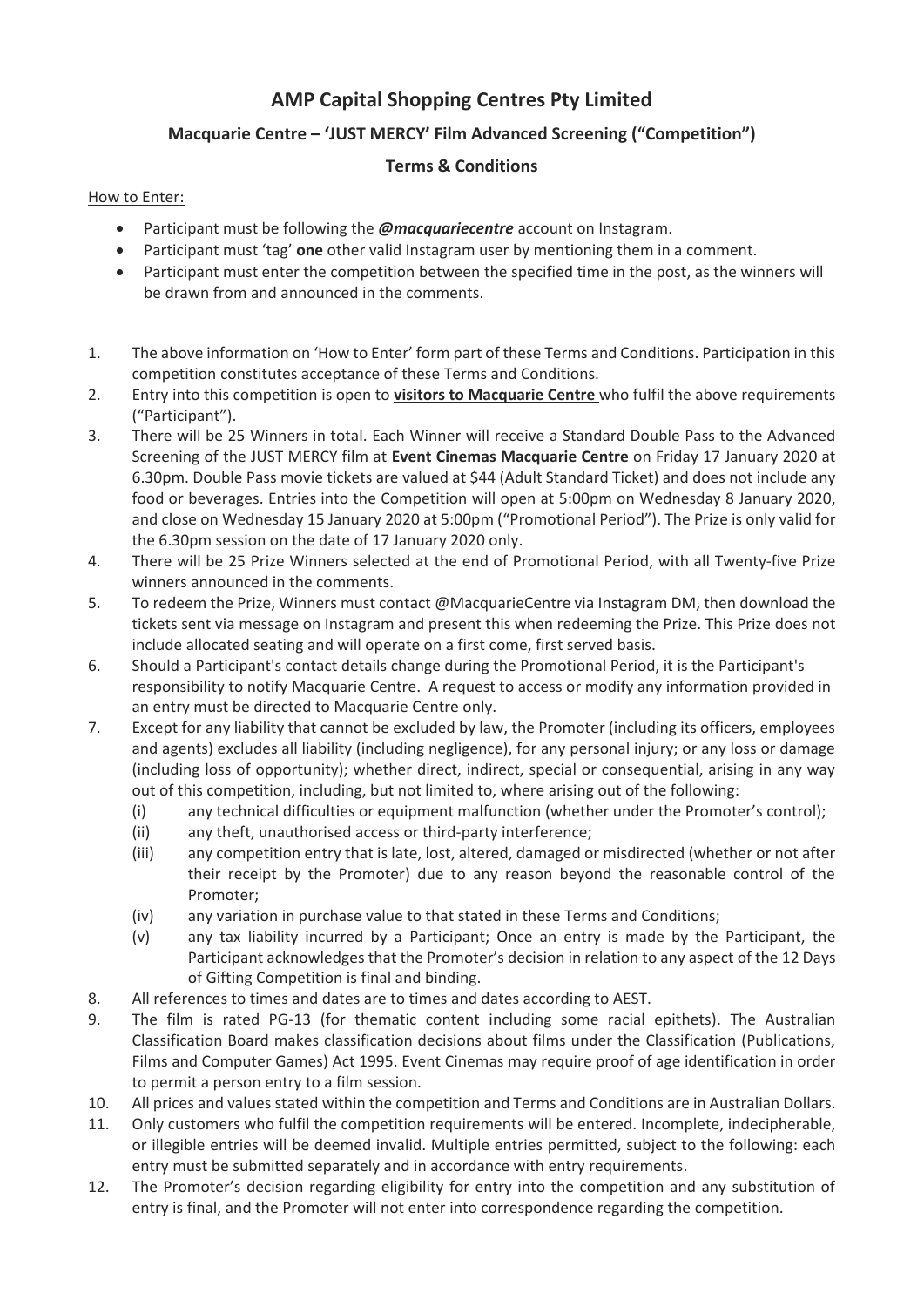## **AMP Capital Shopping Centres Pty Limited**

## **Macquarie Centre – 'JUST MERCY' Film Advanced Screening ("Competition")**

## **Terms & Conditions**

## How to Enter:

- Participant must be following the *@macquariecentre* account on Instagram.
- Participant must 'tag' **one** other valid Instagram user by mentioning them in a comment.
- Participant must enter the competition between the specified time in the post, as the winners will be drawn from and announced in the comments.
- 1. The above information on 'How to Enter' form part of these Terms and Conditions. Participation in this competition constitutes acceptance of these Terms and Conditions.
- 2. Entry into this competition is open to **visitors to Macquarie Centre** who fulfil the above requirements ("Participant").
- 3. There will be 25 Winners in total. Each Winner will receive a Standard Double Pass to the Advanced Screening of the JUST MERCY film at **Event Cinemas Macquarie Centre** on Friday 17 January 2020 at 6.30pm. Double Pass movie tickets are valued at \$44 (Adult Standard Ticket) and does not include any food or beverages. Entries into the Competition will open at 5:00pm on Wednesday 8 January 2020, and close on Wednesday 15 January 2020 at 5:00pm ("Promotional Period"). The Prize is only valid for the 6.30pm session on the date of 17 January 2020 only.
- 4. There will be 25 Prize Winners selected at the end of Promotional Period, with all Twenty-five Prize winners announced in the comments.
- 5. To redeem the Prize, Winners must contact @MacquarieCentre via Instagram DM, then download the tickets sent via message on Instagram and present this when redeeming the Prize. This Prize does not include allocated seating and will operate on a first come, first served basis.
- 6. Should a Participant's contact details change during the Promotional Period, it is the Participant's responsibility to notify Macquarie Centre. A request to access or modify any information provided in an entry must be directed to Macquarie Centre only.
- 7. Except for any liability that cannot be excluded by law, the Promoter (including its officers, employees and agents) excludes all liability (including negligence), for any personal injury; or any loss or damage (including loss of opportunity); whether direct, indirect, special or consequential, arising in any way out of this competition, including, but not limited to, where arising out of the following:
	- (i) any technical difficulties or equipment malfunction (whether under the Promoter's control);
	- (ii) any theft, unauthorised access or third-party interference;
	- (iii) any competition entry that is late, lost, altered, damaged or misdirected (whether or not after their receipt by the Promoter) due to any reason beyond the reasonable control of the Promoter;
	- (iv) any variation in purchase value to that stated in these Terms and Conditions;
	- (v) any tax liability incurred by a Participant; Once an entry is made by the Participant, the Participant acknowledges that the Promoter's decision in relation to any aspect of the 12 Days of Gifting Competition is final and binding.
- 8. All references to times and dates are to times and dates according to AEST.
- 9. The film is rated PG-13 (for thematic content including some racial epithets). The Australian Classification Board makes classification decisions about films under the Classification (Publications, Films and Computer Games) Act 1995. Event Cinemas may require proof of age identification in order to permit a person entry to a film session.
- 10. All prices and values stated within the competition and Terms and Conditions are in Australian Dollars.
- 11. Only customers who fulfil the competition requirements will be entered. Incomplete, indecipherable, or illegible entries will be deemed invalid. Multiple entries permitted, subject to the following: each entry must be submitted separately and in accordance with entry requirements.
- 12. The Promoter's decision regarding eligibility for entry into the competition and any substitution of entry is final, and the Promoter will not enter into correspondence regarding the competition.